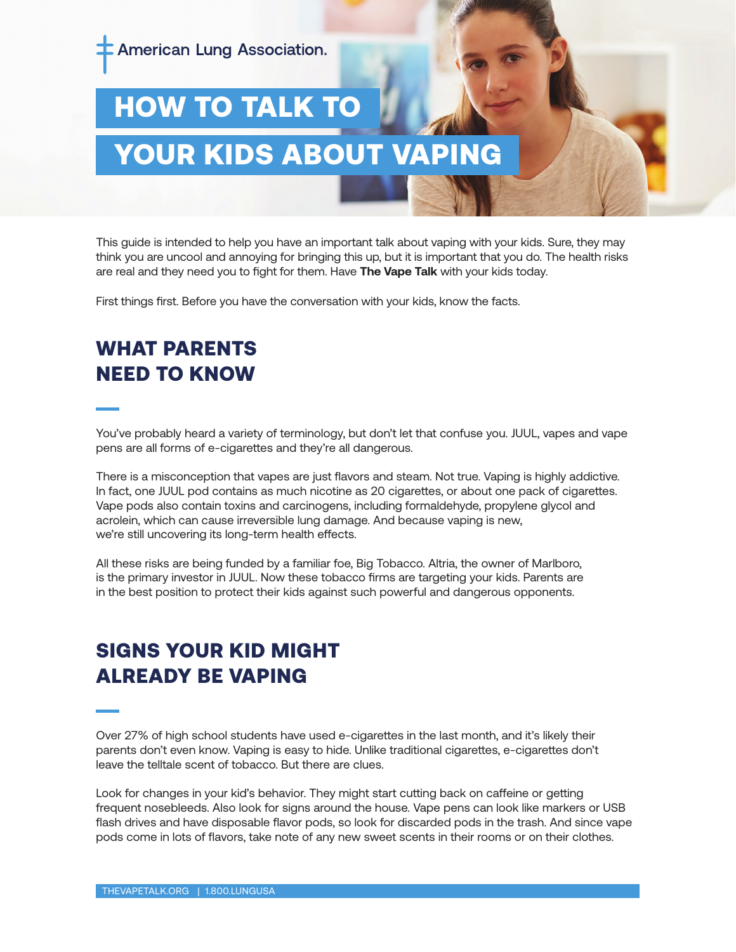

# HOW TO TALK TO YOUR KIDS ABOUT VAPING

This guide is intended to help you have an important talk about vaping with your kids. Sure, they may think you are uncool and annoying for bringing this up, but it is important that you do. The health risks are real and they need you to fight for them. Have **The Vape Talk** with your kids today.

First things first. Before you have the conversation with your kids, know the facts.

## WHAT PARENTS NEED TO KNOW

You've probably heard a variety of terminology, but don't let that confuse you. JUUL, vapes and vape pens are all forms of e-cigarettes and they're all dangerous.

There is a misconception that vapes are just flavors and steam. Not true. Vaping is highly addictive. In fact, one JUUL pod contains as much nicotine as 20 cigarettes, or about one pack of cigarettes. Vape pods also contain toxins and carcinogens, including formaldehyde, propylene glycol and acrolein, which can cause irreversible lung damage. And because vaping is new, we're still uncovering its long-term health effects.

All these risks are being funded by a familiar foe, Big Tobacco. Altria, the owner of Marlboro, is the primary investor in JUUL. Now these tobacco firms are targeting your kids. Parents are in the best position to protect their kids against such powerful and dangerous opponents.

## SIGNS YOUR KID MIGHT ALREADY BE VAPING

Over 27% of high school students have used e-cigarettes in the last month, and it's likely their parents don't even know. Vaping is easy to hide. Unlike traditional cigarettes, e-cigarettes don't leave the telltale scent of tobacco. But there are clues.

Look for changes in your kid's behavior. They might start cutting back on caffeine or getting frequent nosebleeds. Also look for signs around the house. Vape pens can look like markers or USB flash drives and have disposable flavor pods, so look for discarded pods in the trash. And since vape pods come in lots of flavors, take note of any new sweet scents in their rooms or on their clothes.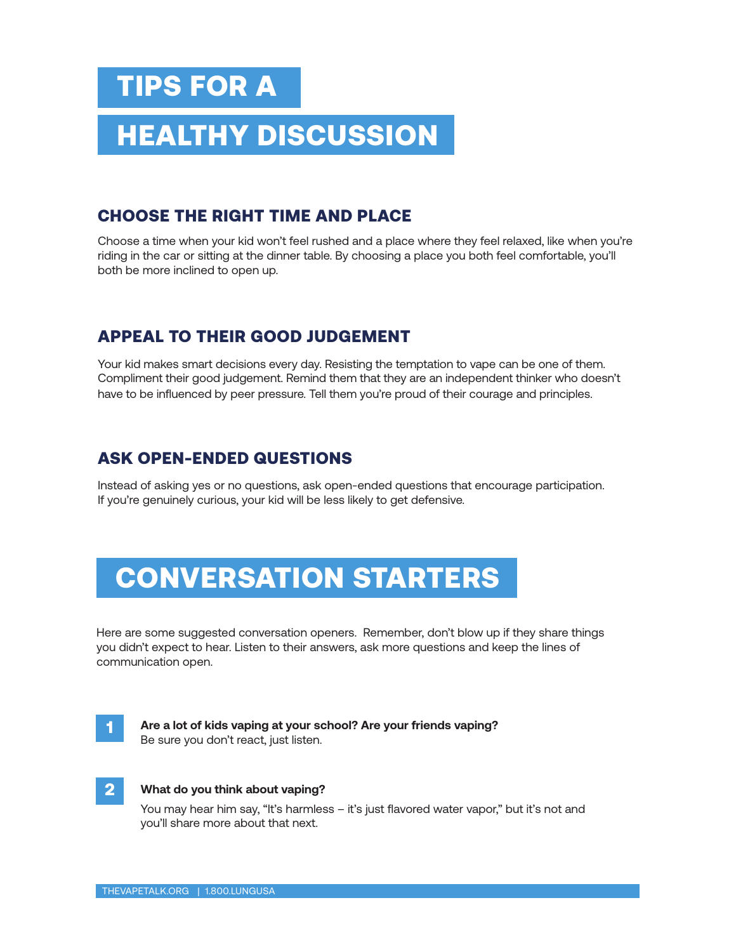# TIPS FOR A

# **HEALTHY DISCUSSION**

### CHOOSE THE RIGHT TIME AND PLACE

Choose a time when your kid won't feel rushed and a place where they feel relaxed, like when you're riding in the car or sitting at the dinner table. By choosing a place you both feel comfortable, you'll both be more inclined to open up.

### APPEAL TO THEIR GOOD JUDGEMENT

Your kid makes smart decisions every day. Resisting the temptation to vape can be one of them. Compliment their good judgement. Remind them that they are an independent thinker who doesn't have to be influenced by peer pressure. Tell them you're proud of their courage and principles.

### ASK OPEN-ENDED QUESTIONS

Instead of asking yes or no questions, ask open-ended questions that encourage participation. If you're genuinely curious, your kid will be less likely to get defensive.

# CONVERSATION STARTERS

Here are some suggested conversation openers. Remember, don't blow up if they share things you didn't expect to hear. Listen to their answers, ask more questions and keep the lines of communication open.



**Are a lot of kids vaping at your school? Are your friends vaping?** Be sure you don't react, just listen.



#### **What do you think about vaping?**

You may hear him say, "It's harmless – it's just flavored water vapor," but it's not and you'll share more about that next.